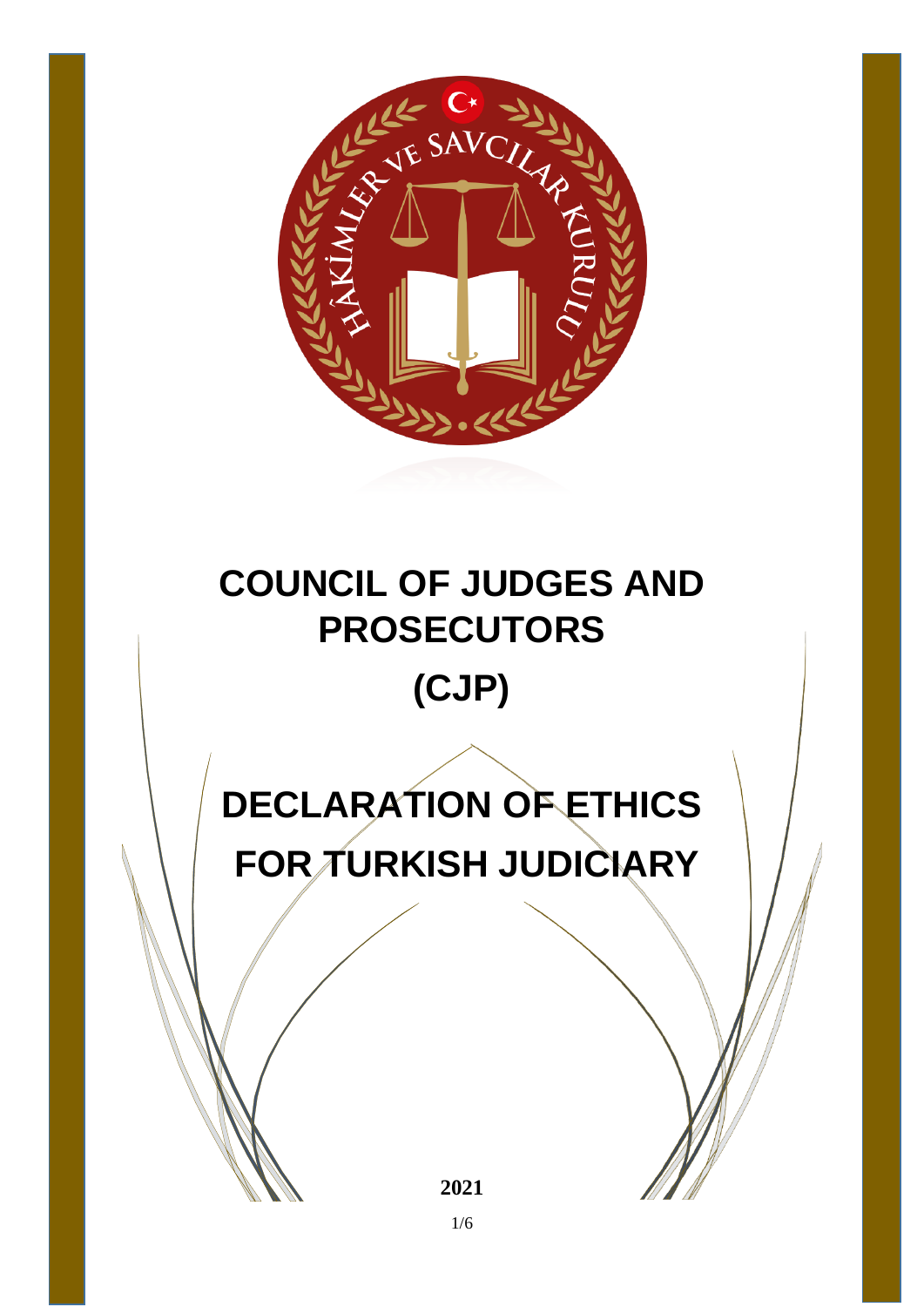

## **COUNCIL OF JUDGES AND PROSECUTORS (CJP)**

# **DECLARATION OF ETHICS FOR TURKISH JUDICIARY**

**2021**

1/6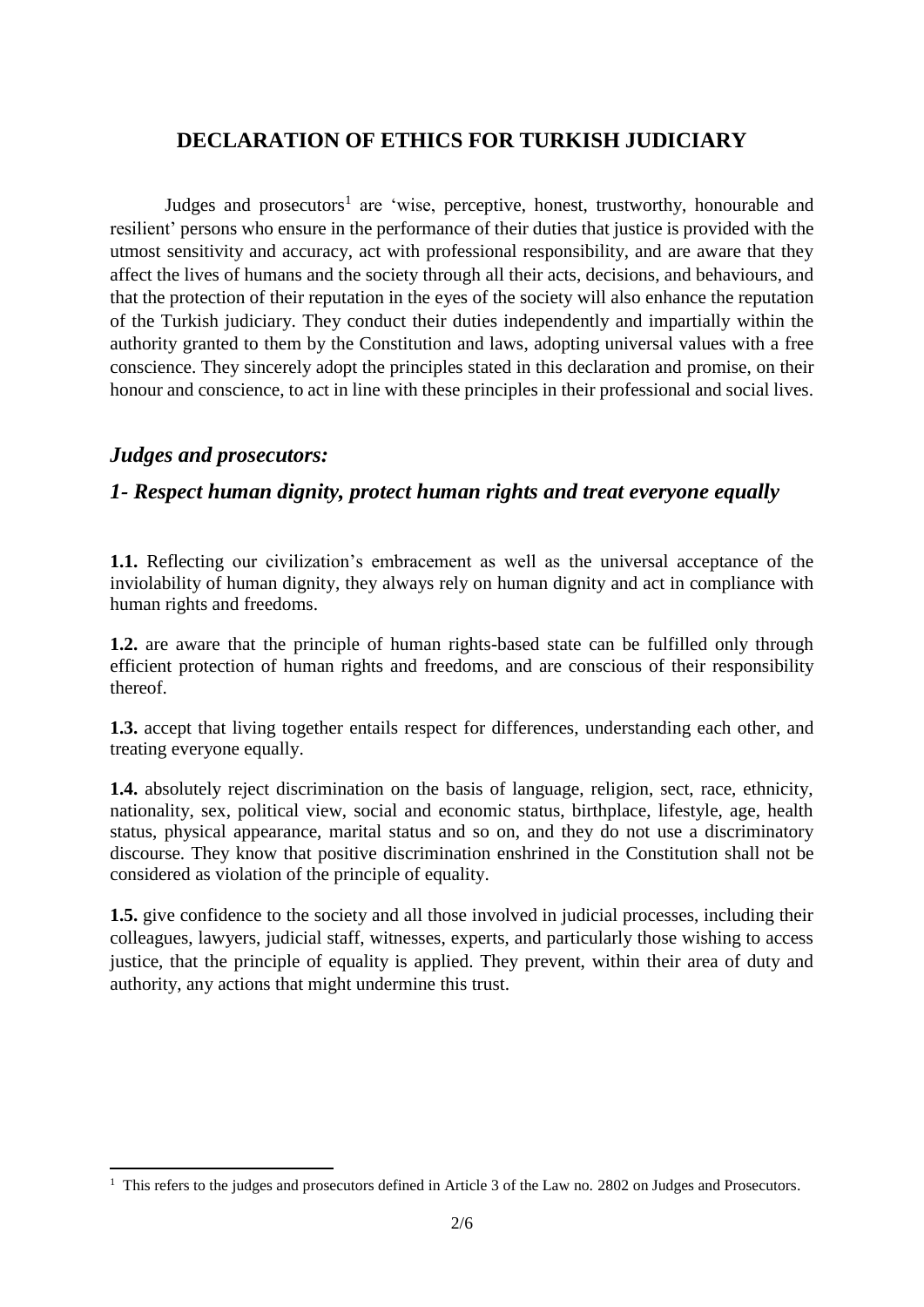#### **DECLARATION OF ETHICS FOR TURKISH JUDICIARY**

Judges and prosecutors<sup>1</sup> are 'wise, perceptive, honest, trustworthy, honourable and resilient' persons who ensure in the performance of their duties that justice is provided with the utmost sensitivity and accuracy, act with professional responsibility, and are aware that they affect the lives of humans and the society through all their acts, decisions, and behaviours, and that the protection of their reputation in the eyes of the society will also enhance the reputation of the Turkish judiciary. They conduct their duties independently and impartially within the authority granted to them by the Constitution and laws, adopting universal values with a free conscience. They sincerely adopt the principles stated in this declaration and promise, on their honour and conscience, to act in line with these principles in their professional and social lives.

#### *Judges and prosecutors:*

 $\overline{\phantom{a}}$ 

#### *1- Respect human dignity, protect human rights and treat everyone equally*

**1.1.** Reflecting our civilization's embracement as well as the universal acceptance of the inviolability of human dignity, they always rely on human dignity and act in compliance with human rights and freedoms.

**1.2.** are aware that the principle of human rights-based state can be fulfilled only through efficient protection of human rights and freedoms, and are conscious of their responsibility thereof.

**1.3.** accept that living together entails respect for differences, understanding each other, and treating everyone equally.

**1.4.** absolutely reject discrimination on the basis of language, religion, sect, race, ethnicity, nationality, sex, political view, social and economic status, birthplace, lifestyle, age, health status, physical appearance, marital status and so on, and they do not use a discriminatory discourse. They know that positive discrimination enshrined in the Constitution shall not be considered as violation of the principle of equality.

**1.5.** give confidence to the society and all those involved in judicial processes, including their colleagues, lawyers, judicial staff, witnesses, experts, and particularly those wishing to access justice, that the principle of equality is applied. They prevent, within their area of duty and authority, any actions that might undermine this trust.

 $1$  This refers to the judges and prosecutors defined in Article 3 of the Law no. 2802 on Judges and Prosecutors.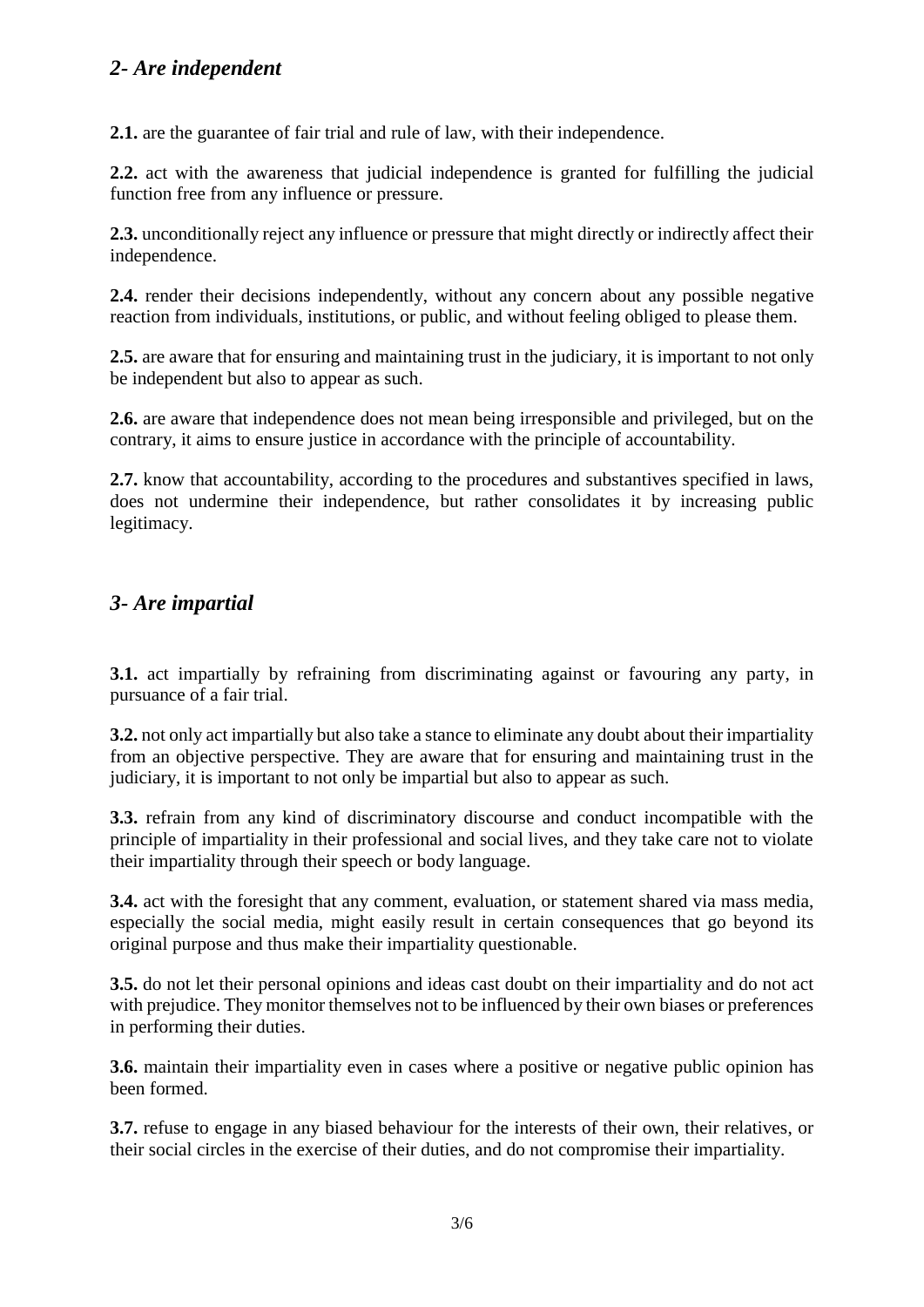#### *2- Are independent*

**2.1.** are the guarantee of fair trial and rule of law, with their independence.

**2.2.** act with the awareness that judicial independence is granted for fulfilling the judicial function free from any influence or pressure.

**2.3.** unconditionally reject any influence or pressure that might directly or indirectly affect their independence.

**2.4.** render their decisions independently, without any concern about any possible negative reaction from individuals, institutions, or public, and without feeling obliged to please them.

**2.5.** are aware that for ensuring and maintaining trust in the judiciary, it is important to not only be independent but also to appear as such.

**2.6.** are aware that independence does not mean being irresponsible and privileged, but on the contrary, it aims to ensure justice in accordance with the principle of accountability.

**2.7.** know that accountability, according to the procedures and substantives specified in laws, does not undermine their independence, but rather consolidates it by increasing public legitimacy.

#### *3- Are impartial*

**3.1.** act impartially by refraining from discriminating against or favouring any party, in pursuance of a fair trial.

**3.2.** not only act impartially but also take a stance to eliminate any doubt about their impartiality from an objective perspective. They are aware that for ensuring and maintaining trust in the judiciary, it is important to not only be impartial but also to appear as such.

**3.3.** refrain from any kind of discriminatory discourse and conduct incompatible with the principle of impartiality in their professional and social lives, and they take care not to violate their impartiality through their speech or body language.

**3.4.** act with the foresight that any comment, evaluation, or statement shared via mass media, especially the social media, might easily result in certain consequences that go beyond its original purpose and thus make their impartiality questionable.

**3.5.** do not let their personal opinions and ideas cast doubt on their impartiality and do not act with prejudice. They monitor themselves not to be influenced by their own biases or preferences in performing their duties.

**3.6.** maintain their impartiality even in cases where a positive or negative public opinion has been formed.

**3.7.** refuse to engage in any biased behaviour for the interests of their own, their relatives, or their social circles in the exercise of their duties, and do not compromise their impartiality.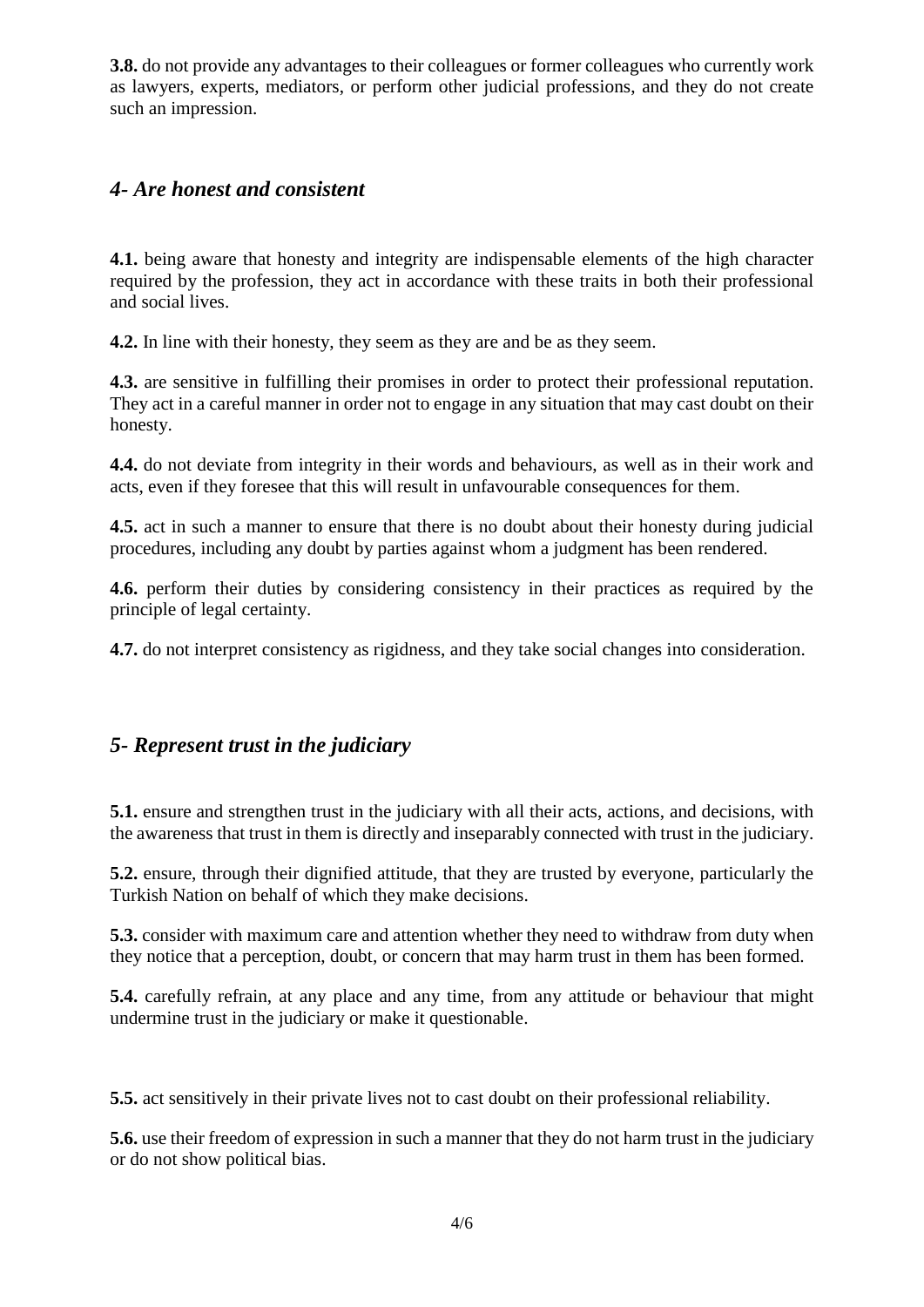**3.8.** do not provide any advantages to their colleagues or former colleagues who currently work as lawyers, experts, mediators, or perform other judicial professions, and they do not create such an impression.

#### *4- Are honest and consistent*

**4.1.** being aware that honesty and integrity are indispensable elements of the high character required by the profession, they act in accordance with these traits in both their professional and social lives.

**4.2.** In line with their honesty, they seem as they are and be as they seem.

**4.3.** are sensitive in fulfilling their promises in order to protect their professional reputation. They act in a careful manner in order not to engage in any situation that may cast doubt on their honesty.

**4.4.** do not deviate from integrity in their words and behaviours, as well as in their work and acts, even if they foresee that this will result in unfavourable consequences for them.

**4.5.** act in such a manner to ensure that there is no doubt about their honesty during judicial procedures, including any doubt by parties against whom a judgment has been rendered.

**4.6.** perform their duties by considering consistency in their practices as required by the principle of legal certainty.

**4.7.** do not interpret consistency as rigidness, and they take social changes into consideration.

#### *5- Represent trust in the judiciary*

**5.1.** ensure and strengthen trust in the judiciary with all their acts, actions, and decisions, with the awareness that trust in them is directly and inseparably connected with trust in the judiciary.

**5.2.** ensure, through their dignified attitude, that they are trusted by everyone, particularly the Turkish Nation on behalf of which they make decisions.

**5.3.** consider with maximum care and attention whether they need to withdraw from duty when they notice that a perception, doubt, or concern that may harm trust in them has been formed.

**5.4.** carefully refrain, at any place and any time, from any attitude or behaviour that might undermine trust in the judiciary or make it questionable.

**5.5.** act sensitively in their private lives not to cast doubt on their professional reliability.

**5.6.** use their freedom of expression in such a manner that they do not harm trust in the judiciary or do not show political bias.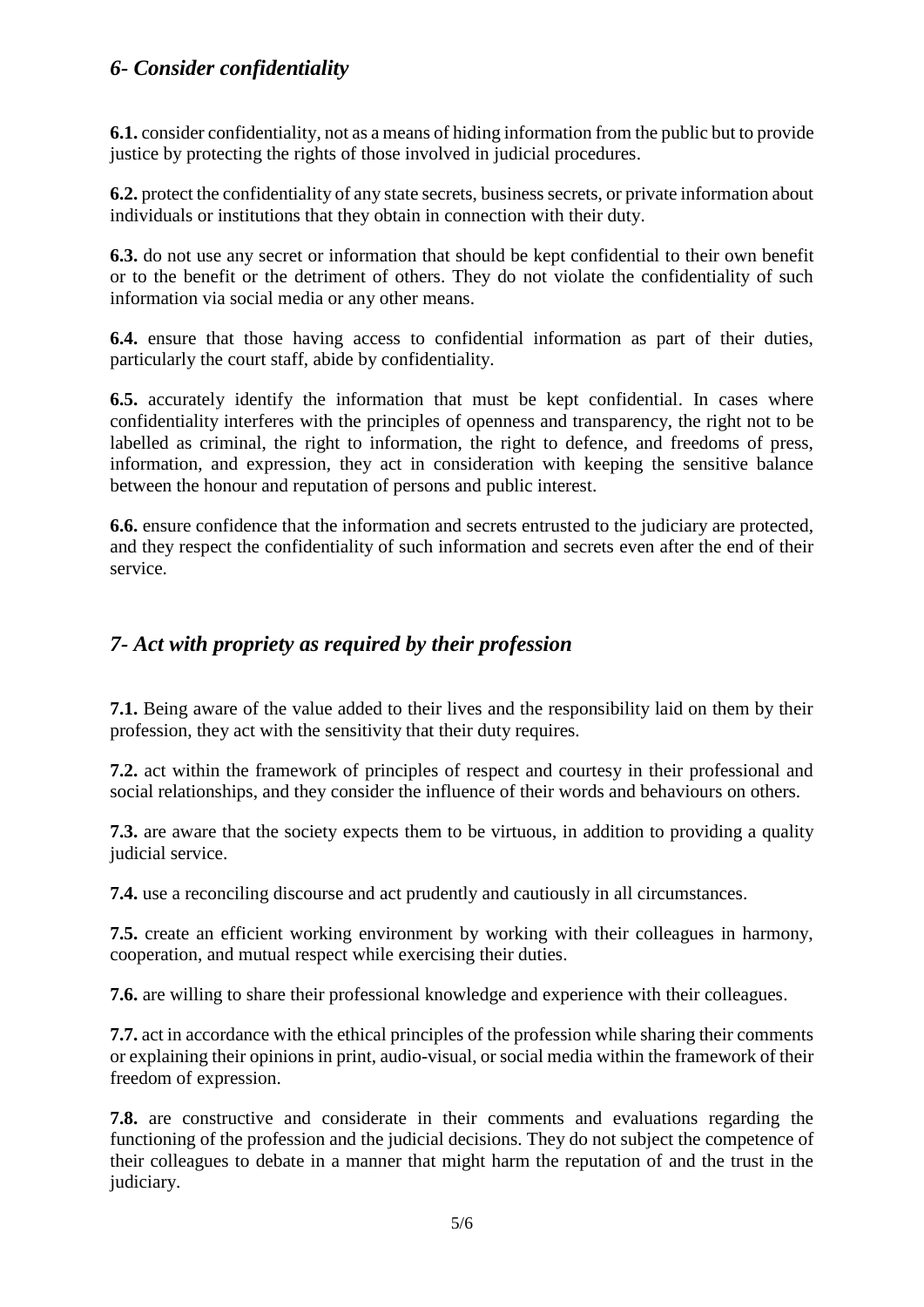#### *6- Consider confidentiality*

**6.1.** consider confidentiality, not as a means of hiding information from the public but to provide justice by protecting the rights of those involved in judicial procedures.

**6.2.** protect the confidentiality of any state secrets, business secrets, or private information about individuals or institutions that they obtain in connection with their duty.

**6.3.** do not use any secret or information that should be kept confidential to their own benefit or to the benefit or the detriment of others. They do not violate the confidentiality of such information via social media or any other means.

**6.4.** ensure that those having access to confidential information as part of their duties, particularly the court staff, abide by confidentiality.

**6.5.** accurately identify the information that must be kept confidential. In cases where confidentiality interferes with the principles of openness and transparency, the right not to be labelled as criminal, the right to information, the right to defence, and freedoms of press, information, and expression, they act in consideration with keeping the sensitive balance between the honour and reputation of persons and public interest.

**6.6.** ensure confidence that the information and secrets entrusted to the judiciary are protected, and they respect the confidentiality of such information and secrets even after the end of their service.

#### *7- Act with propriety as required by their profession*

**7.1.** Being aware of the value added to their lives and the responsibility laid on them by their profession, they act with the sensitivity that their duty requires.

**7.2.** act within the framework of principles of respect and courtesy in their professional and social relationships, and they consider the influence of their words and behaviours on others.

**7.3.** are aware that the society expects them to be virtuous, in addition to providing a quality judicial service.

**7.4.** use a reconciling discourse and act prudently and cautiously in all circumstances.

**7.5.** create an efficient working environment by working with their colleagues in harmony, cooperation, and mutual respect while exercising their duties.

**7.6.** are willing to share their professional knowledge and experience with their colleagues.

**7.7.** act in accordance with the ethical principles of the profession while sharing their comments or explaining their opinions in print, audio-visual, or social media within the framework of their freedom of expression.

**7.8.** are constructive and considerate in their comments and evaluations regarding the functioning of the profession and the judicial decisions. They do not subject the competence of their colleagues to debate in a manner that might harm the reputation of and the trust in the judiciary.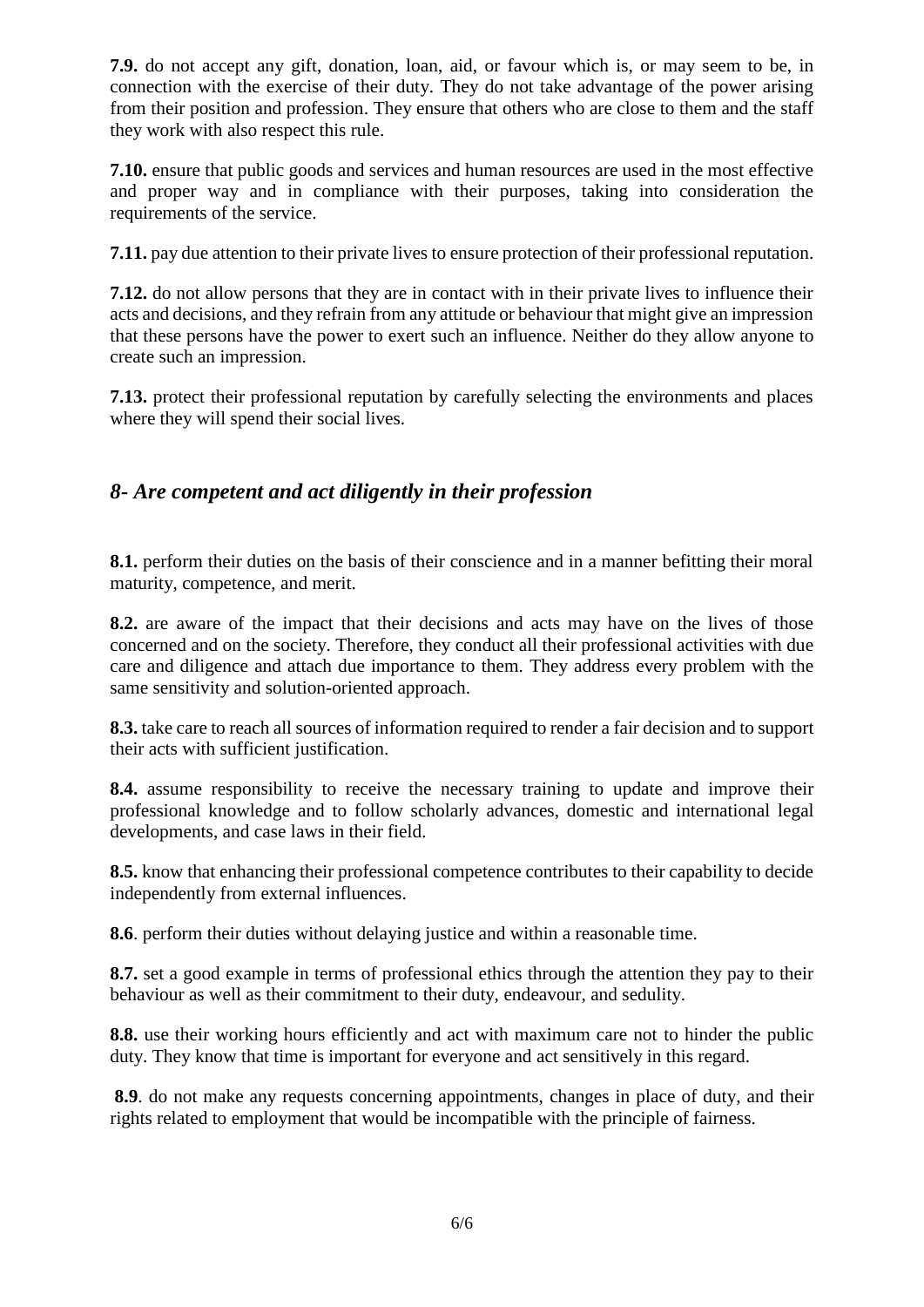**7.9.** do not accept any gift, donation, loan, aid, or favour which is, or may seem to be, in connection with the exercise of their duty. They do not take advantage of the power arising from their position and profession. They ensure that others who are close to them and the staff they work with also respect this rule.

**7.10.** ensure that public goods and services and human resources are used in the most effective and proper way and in compliance with their purposes, taking into consideration the requirements of the service.

**7.11.** pay due attention to their private lives to ensure protection of their professional reputation.

**7.12.** do not allow persons that they are in contact with in their private lives to influence their acts and decisions, and they refrain from any attitude or behaviour that might give an impression that these persons have the power to exert such an influence. Neither do they allow anyone to create such an impression.

**7.13.** protect their professional reputation by carefully selecting the environments and places where they will spend their social lives.

### *8- Are competent and act diligently in their profession*

**8.1.** perform their duties on the basis of their conscience and in a manner befitting their moral maturity, competence, and merit.

**8.2.** are aware of the impact that their decisions and acts may have on the lives of those concerned and on the society. Therefore, they conduct all their professional activities with due care and diligence and attach due importance to them. They address every problem with the same sensitivity and solution-oriented approach.

**8.3.** take care to reach all sources of information required to render a fair decision and to support their acts with sufficient justification.

**8.4.** assume responsibility to receive the necessary training to update and improve their professional knowledge and to follow scholarly advances, domestic and international legal developments, and case laws in their field.

**8.5.** know that enhancing their professional competence contributes to their capability to decide independently from external influences.

**8.6**. perform their duties without delaying justice and within a reasonable time.

**8.7.** set a good example in terms of professional ethics through the attention they pay to their behaviour as well as their commitment to their duty, endeavour, and sedulity.

**8.8.** use their working hours efficiently and act with maximum care not to hinder the public duty. They know that time is important for everyone and act sensitively in this regard.

**8.9**. do not make any requests concerning appointments, changes in place of duty, and their rights related to employment that would be incompatible with the principle of fairness.